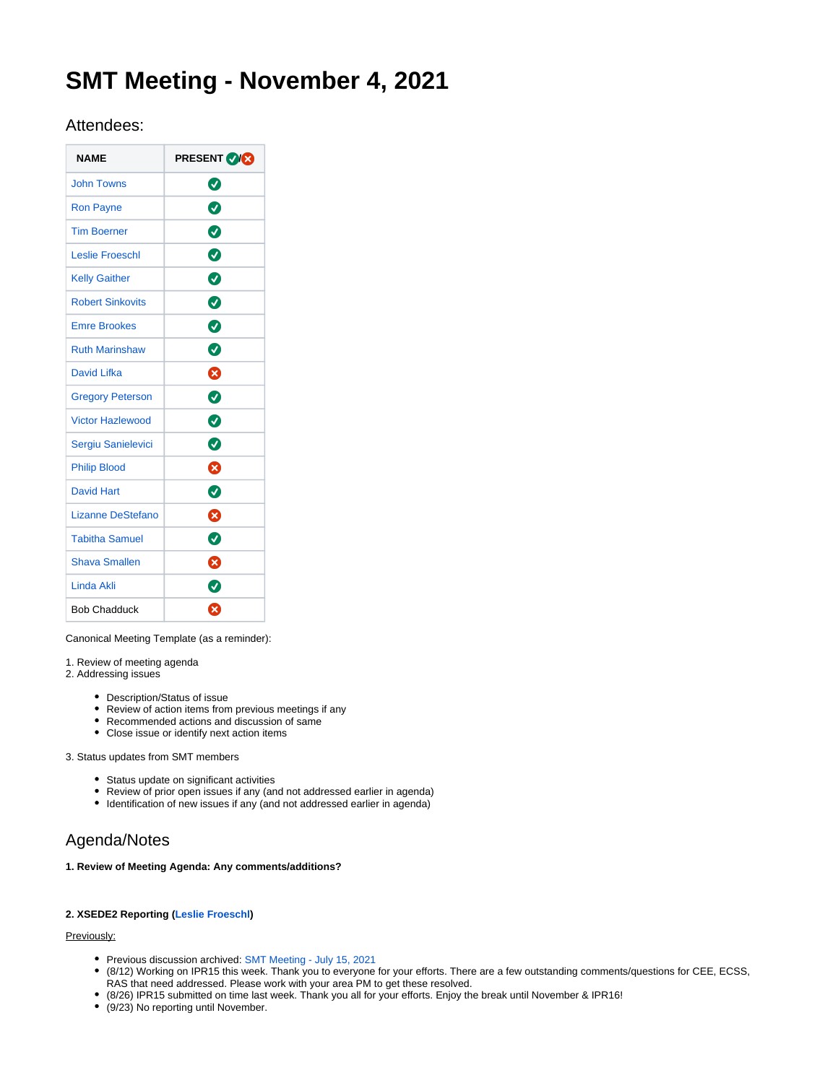# **SMT Meeting - November 4, 2021**

# Attendees:

| <b>NAME</b>             | <b>PRESENT VX</b> |
|-------------------------|-------------------|
| <b>John Towns</b>       | Ø                 |
| <b>Ron Payne</b>        | Ø                 |
| <b>Tim Boerner</b>      | ◙                 |
| <b>Leslie Froeschl</b>  | ◙                 |
| <b>Kelly Gaither</b>    | ◙                 |
| <b>Robert Sinkovits</b> | ◙                 |
| <b>Emre Brookes</b>     | ◙                 |
| <b>Ruth Marinshaw</b>   | Ø                 |
| David Lifka             | ظ                 |
| <b>Gregory Peterson</b> | ◙                 |
| <b>Victor Hazlewood</b> | Ø                 |
| Sergiu Sanielevici      | Ø                 |
| <b>Philip Blood</b>     | ೞ                 |
| <b>David Hart</b>       | Ø                 |
| Lizanne DeStefano       | ೞ                 |
| <b>Tabitha Samuel</b>   | Ø                 |
| <b>Shava Smallen</b>    | Ø                 |
| Linda Akli              | Ø                 |
| <b>Bob Chadduck</b>     | $\mathbf x$       |

Canonical Meeting Template (as a reminder):

1. Review of meeting agenda

- 2. Addressing issues
	- Description/Status of issue
	- Review of action items from previous meetings if any
	- Recommended actions and discussion of same
	- Close issue or identify next action items

#### 3. Status updates from SMT members

- Status update on significant activities
- Review of prior open issues if any (and not addressed earlier in agenda)
- Identification of new issues if any (and not addressed earlier in agenda)

# Agenda/Notes

# **1. Review of Meeting Agenda: Any comments/additions?**

## **2. XSEDE2 Reporting [\(Leslie Froeschl\)](https://confluence.xsede.org/display/~lfroesch)**

# Previously:

- Previous discussion archived: [SMT Meeting July 15, 2021](https://confluence.xsede.org/display/XT/SMT+Meeting+-+July+15%2C+2021)
- (8/12) Working on IPR15 this week. Thank you to everyone for your efforts. There are a few outstanding comments/questions for CEE, ECSS, RAS that need addressed. Please work with your area PM to get these resolved.
- (8/26) IPR15 submitted on time last week. Thank you all for your efforts. Enjoy the break until November & IPR16!
- (9/23) No reporting until November.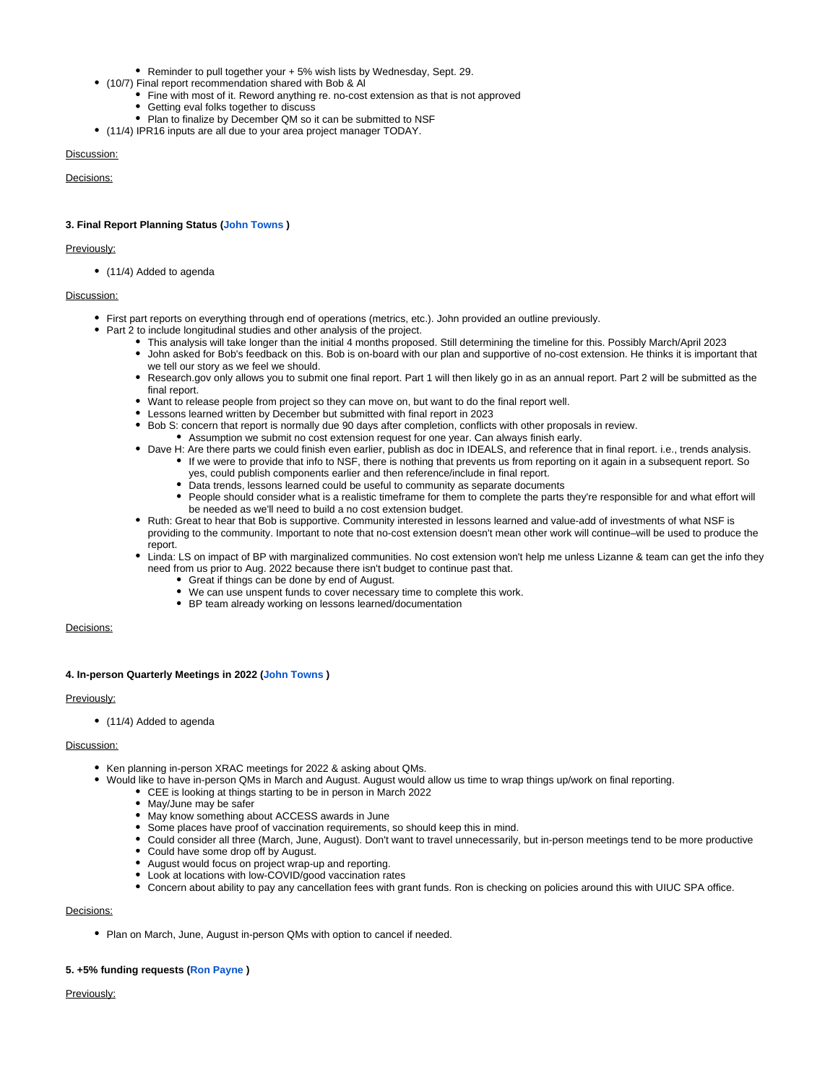- Reminder to pull together your + 5% wish lists by Wednesday, Sept. 29.
- (10/7) Final report recommendation shared with Bob & Al
	- Fine with most of it. Reword anything re. no-cost extension as that is not approved • Getting eval folks together to discuss
	- Plan to finalize by December QM so it can be submitted to NSF
- (11/4) IPR16 inputs are all due to your area project manager TODAY.

#### Discussion:

Decisions:

#### **3. Final Report Planning Status [\(John Towns](https://confluence.xsede.org/display/~jtowns) )**

#### Previously:

• (11/4) Added to agenda

#### Discussion:

- First part reports on everything through end of operations (metrics, etc.). John provided an outline previously.
- Part 2 to include longitudinal studies and other analysis of the project.
	- This analysis will take longer than the initial 4 months proposed. Still determining the timeline for this. Possibly March/April 2023 John asked for Bob's feedback on this. Bob is on-board with our plan and supportive of no-cost extension. He thinks it is important that
	- we tell our story as we feel we should. Research.gov only allows you to submit one final report. Part 1 will then likely go in as an annual report. Part 2 will be submitted as the final report.
	- Want to release people from project so they can move on, but want to do the final report well.
	- Lessons learned written by December but submitted with final report in 2023
	- Bob S: concern that report is normally due 90 days after completion, conflicts with other proposals in review.
		- Assumption we submit no cost extension request for one year. Can always finish early.
	- Dave H: Are there parts we could finish even earlier, publish as doc in IDEALS, and reference that in final report. i.e., trends analysis.
		- If we were to provide that info to NSF, there is nothing that prevents us from reporting on it again in a subsequent report. So yes, could publish components earlier and then reference/include in final report.
			- Data trends, lessons learned could be useful to community as separate documents
			- People should consider what is a realistic timeframe for them to complete the parts they're responsible for and what effort will be needed as we'll need to build a no cost extension budget.
	- Ruth: Great to hear that Bob is supportive. Community interested in lessons learned and value-add of investments of what NSF is providing to the community. Important to note that no-cost extension doesn't mean other work will continue–will be used to produce the report.
	- Linda: LS on impact of BP with marginalized communities. No cost extension won't help me unless Lizanne & team can get the info they need from us prior to Aug. 2022 because there isn't budget to continue past that.
		- Great if things can be done by end of August.
		- We can use unspent funds to cover necessary time to complete this work.
		- BP team already working on lessons learned/documentation

#### Decisions:

#### **4. In-person Quarterly Meetings in 2022 ([John Towns](https://confluence.xsede.org/display/~jtowns) )**

#### Previously:

• (11/4) Added to agenda

#### Discussion:

- Ken planning in-person XRAC meetings for 2022 & asking about QMs.
	- Would like to have in-person QMs in March and August. August would allow us time to wrap things up/work on final reporting.
		- CEE is looking at things starting to be in person in March 2022
			- May/June may be safer
			- May know something about ACCESS awards in June
			- Some places have proof of vaccination requirements, so should keep this in mind.
			- Could consider all three (March, June, August). Don't want to travel unnecessarily, but in-person meetings tend to be more productive Could have some drop off by August.
			- August would focus on project wrap-up and reporting.
			- Look at locations with low-COVID/good vaccination rates
			- Concern about ability to pay any cancellation fees with grant funds. Ron is checking on policies around this with UIUC SPA office.

#### Decisions:

• Plan on March, June, August in-person QMs with option to cancel if needed.

#### **5. +5% funding requests [\(Ron Payne](https://confluence.xsede.org/display/~rpayne) )**

Previously: